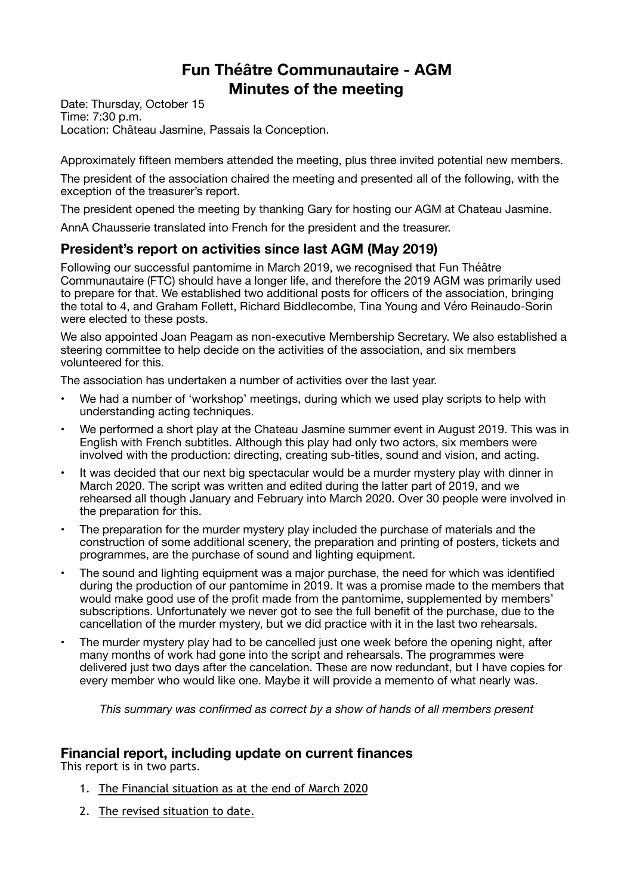# **Fun Théâtre Communautaire - AGM Minutes of the meeting**

Date: Thursday, October 15 Time: 7:30 p.m. Location: Château Jasmine, Passais la Conception.

Approximately fifteen members attended the meeting, plus three invited potential new members.

The president of the association chaired the meeting and presented all of the following, with the exception of the treasurer's report.

The president opened the meeting by thanking Gary for hosting our AGM at Chateau Jasmine.

AnnA Chausserie translated into French for the president and the treasurer.

# **President's report on activities since last AGM (May 2019)**

Following our successful pantomime in March 2019, we recognised that Fun Théâtre Communautaire (FTC) should have a longer life, and therefore the 2019 AGM was primarily used to prepare for that. We established two additional posts for officers of the association, bringing the total to 4, and Graham Follett, Richard Biddlecombe, Tina Young and Véro Reinaudo-Sorin were elected to these posts.

We also appointed Joan Peagam as non-executive Membership Secretary. We also established a steering committee to help decide on the activities of the association, and six members volunteered for this.

The association has undertaken a number of activities over the last year.

- We had a number of 'workshop' meetings, during which we used play scripts to help with understanding acting techniques.
- We performed a short play at the Chateau Jasmine summer event in August 2019. This was in English with French subtitles. Although this play had only two actors, six members were involved with the production: directing, creating sub-titles, sound and vision, and acting.
- It was decided that our next big spectacular would be a murder mystery play with dinner in March 2020. The script was written and edited during the latter part of 2019, and we rehearsed all though January and February into March 2020. Over 30 people were involved in the preparation for this.
- The preparation for the murder mystery play included the purchase of materials and the construction of some additional scenery, the preparation and printing of posters, tickets and programmes, are the purchase of sound and lighting equipment.
- The sound and lighting equipment was a major purchase, the need for which was identified during the production of our pantomime in 2019. It was a promise made to the members that would make good use of the profit made from the pantomime, supplemented by members' subscriptions. Unfortunately we never got to see the full benefit of the purchase, due to the cancellation of the murder mystery, but we did practice with it in the last two rehearsals.
- The murder mystery play had to be cancelled just one week before the opening night, after many months of work had gone into the script and rehearsals. The programmes were delivered just two days after the cancelation. These are now redundant, but I have copies for every member who would like one. Maybe it will provide a memento of what nearly was.

*This summary was confirmed as correct by a show of hands of all members present* 

# **Financial report, including update on current finances**

This report is in two parts.

- 1. The Financial situation as at the end of March 2020
- 2. The revised situation to date.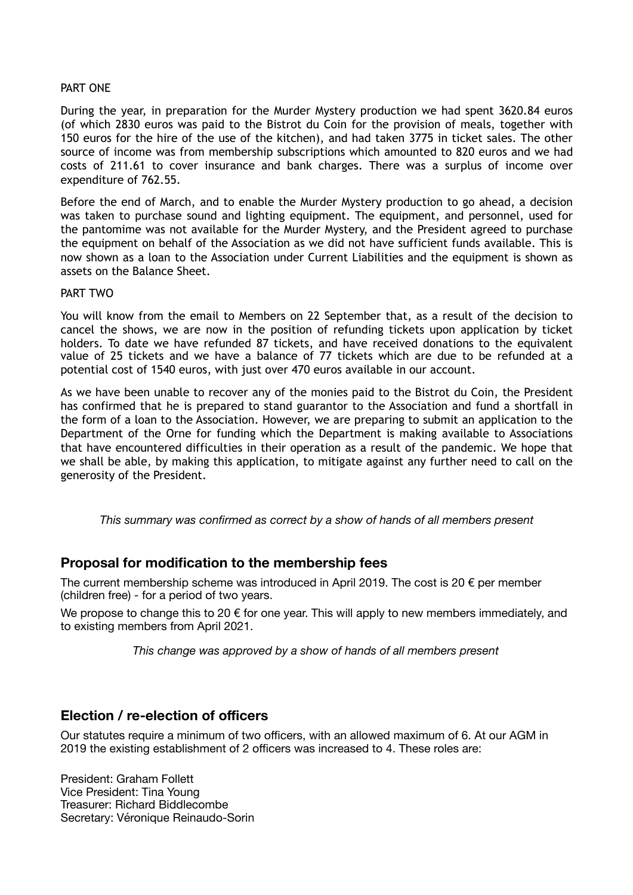### PART ONE

During the year, in preparation for the Murder Mystery production we had spent 3620.84 euros (of which 2830 euros was paid to the Bistrot du Coin for the provision of meals, together with 150 euros for the hire of the use of the kitchen), and had taken 3775 in ticket sales. The other source of income was from membership subscriptions which amounted to 820 euros and we had costs of 211.61 to cover insurance and bank charges. There was a surplus of income over expenditure of 762.55.

Before the end of March, and to enable the Murder Mystery production to go ahead, a decision was taken to purchase sound and lighting equipment. The equipment, and personnel, used for the pantomime was not available for the Murder Mystery, and the President agreed to purchase the equipment on behalf of the Association as we did not have sufficient funds available. This is now shown as a loan to the Association under Current Liabilities and the equipment is shown as assets on the Balance Sheet.

### PART TWO

You will know from the email to Members on 22 September that, as a result of the decision to cancel the shows, we are now in the position of refunding tickets upon application by ticket holders. To date we have refunded 87 tickets, and have received donations to the equivalent value of 25 tickets and we have a balance of 77 tickets which are due to be refunded at a potential cost of 1540 euros, with just over 470 euros available in our account.

As we have been unable to recover any of the monies paid to the Bistrot du Coin, the President has confirmed that he is prepared to stand guarantor to the Association and fund a shortfall in the form of a loan to the Association. However, we are preparing to submit an application to the Department of the Orne for funding which the Department is making available to Associations that have encountered difficulties in their operation as a result of the pandemic. We hope that we shall be able, by making this application, to mitigate against any further need to call on the generosity of the President.

*This summary was confirmed as correct by a show of hands of all members present* 

### **Proposal for modification to the membership fees**

The current membership scheme was introduced in April 2019. The cost is 20  $\epsilon$  per member (children free) - for a period of two years.

We propose to change this to 20  $\epsilon$  for one year. This will apply to new members immediately, and to existing members from April 2021.

*This change was approved by a show of hands of all members present* 

### **Election / re-election of officers**

Our statutes require a minimum of two officers, with an allowed maximum of 6. At our AGM in 2019 the existing establishment of 2 officers was increased to 4. These roles are:

President: Graham Follett Vice President: Tina Young Treasurer: Richard Biddlecombe Secretary: Véronique Reinaudo-Sorin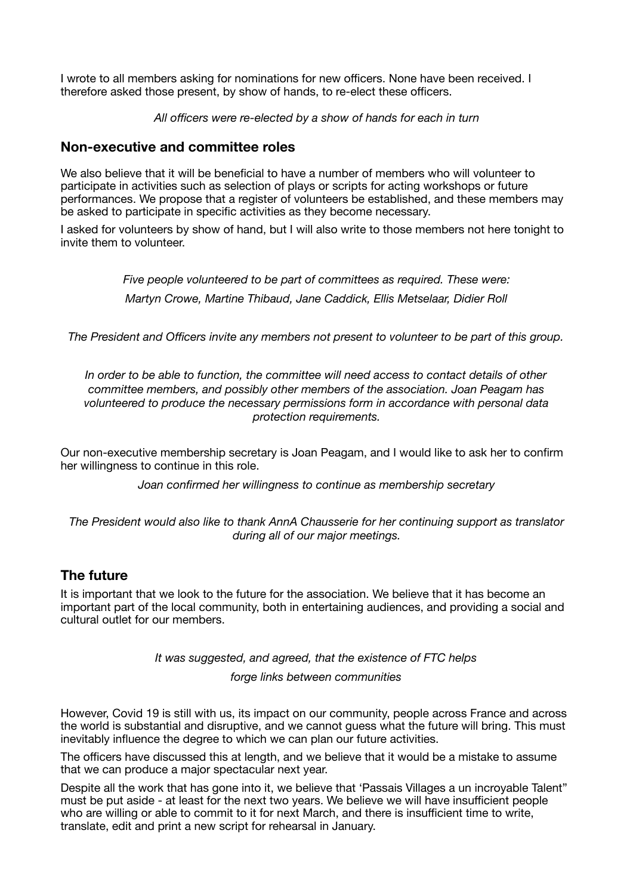I wrote to all members asking for nominations for new officers. None have been received. I therefore asked those present, by show of hands, to re-elect these officers.

*All officers were re-elected by a show of hands for each in turn* 

### **Non-executive and committee roles**

We also believe that it will be beneficial to have a number of members who will volunteer to participate in activities such as selection of plays or scripts for acting workshops or future performances. We propose that a register of volunteers be established, and these members may be asked to participate in specific activities as they become necessary.

I asked for volunteers by show of hand, but I will also write to those members not here tonight to invite them to volunteer.

> *Five people volunteered to be part of committees as required. These were: Martyn Crowe, Martine Thibaud, Jane Caddick, Ellis Metselaar, Didier Roll*

*The President and Officers invite any members not present to volunteer to be part of this group.* 

*In order to be able to function, the committee will need access to contact details of other committee members, and possibly other members of the association. Joan Peagam has volunteered to produce the necessary permissions form in accordance with personal data protection requirements.* 

Our non-executive membership secretary is Joan Peagam, and I would like to ask her to confirm her willingness to continue in this role.

*Joan confirmed her willingness to continue as membership secretary* 

*The President would also like to thank AnnA Chausserie for her continuing support as translator during all of our major meetings.* 

# **The future**

It is important that we look to the future for the association. We believe that it has become an important part of the local community, both in entertaining audiences, and providing a social and cultural outlet for our members.

*It was suggested, and agreed, that the existence of FTC helps* 

*forge links between communities* 

However, Covid 19 is still with us, its impact on our community, people across France and across the world is substantial and disruptive, and we cannot guess what the future will bring. This must inevitably influence the degree to which we can plan our future activities.

The officers have discussed this at length, and we believe that it would be a mistake to assume that we can produce a major spectacular next year.

Despite all the work that has gone into it, we believe that 'Passais Villages a un incroyable Talent" must be put aside - at least for the next two years. We believe we will have insufficient people who are willing or able to commit to it for next March, and there is insufficient time to write, translate, edit and print a new script for rehearsal in January.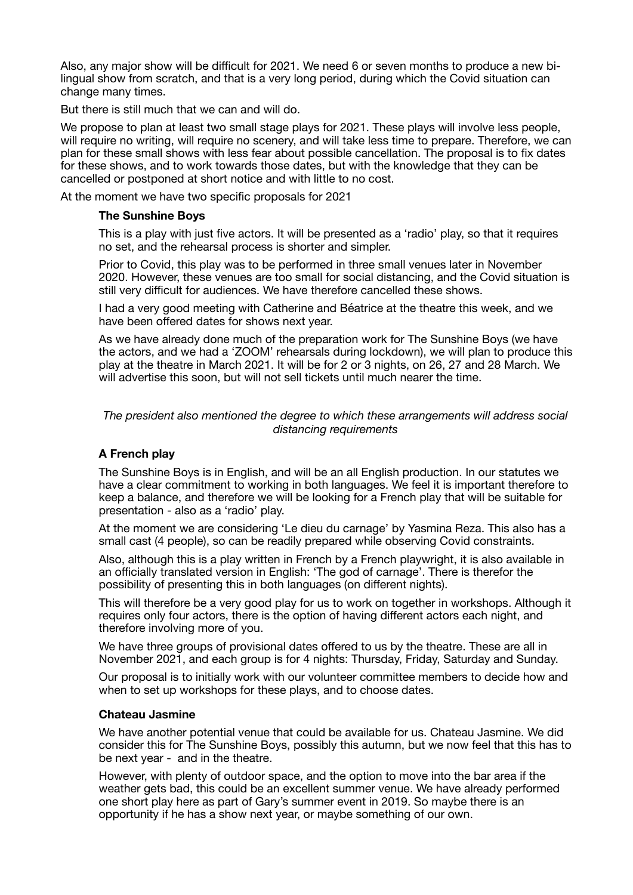Also, any major show will be difficult for 2021. We need 6 or seven months to produce a new bilingual show from scratch, and that is a very long period, during which the Covid situation can change many times.

But there is still much that we can and will do.

We propose to plan at least two small stage plays for 2021. These plays will involve less people, will require no writing, will require no scenery, and will take less time to prepare. Therefore, we can plan for these small shows with less fear about possible cancellation. The proposal is to fix dates for these shows, and to work towards those dates, but with the knowledge that they can be cancelled or postponed at short notice and with little to no cost.

At the moment we have two specific proposals for 2021

### **The Sunshine Boys**

This is a play with just five actors. It will be presented as a 'radio' play, so that it requires no set, and the rehearsal process is shorter and simpler.

Prior to Covid, this play was to be performed in three small venues later in November 2020. However, these venues are too small for social distancing, and the Covid situation is still very difficult for audiences. We have therefore cancelled these shows.

I had a very good meeting with Catherine and Béatrice at the theatre this week, and we have been offered dates for shows next year.

As we have already done much of the preparation work for The Sunshine Boys (we have the actors, and we had a 'ZOOM' rehearsals during lockdown), we will plan to produce this play at the theatre in March 2021. It will be for 2 or 3 nights, on 26, 27 and 28 March. We will advertise this soon, but will not sell tickets until much nearer the time.

### *The president also mentioned the degree to which these arrangements will address social distancing requirements*

### **A French play**

The Sunshine Boys is in English, and will be an all English production. In our statutes we have a clear commitment to working in both languages. We feel it is important therefore to keep a balance, and therefore we will be looking for a French play that will be suitable for presentation - also as a 'radio' play.

At the moment we are considering 'Le dieu du carnage' by Yasmina Reza. This also has a small cast (4 people), so can be readily prepared while observing Covid constraints.

Also, although this is a play written in French by a French playwright, it is also available in an officially translated version in English: 'The god of carnage'. There is therefor the possibility of presenting this in both languages (on different nights).

This will therefore be a very good play for us to work on together in workshops. Although it requires only four actors, there is the option of having different actors each night, and therefore involving more of you.

We have three groups of provisional dates offered to us by the theatre. These are all in November 2021, and each group is for 4 nights: Thursday, Friday, Saturday and Sunday.

Our proposal is to initially work with our volunteer committee members to decide how and when to set up workshops for these plays, and to choose dates.

### **Chateau Jasmine**

We have another potential venue that could be available for us. Chateau Jasmine. We did consider this for The Sunshine Boys, possibly this autumn, but we now feel that this has to be next year - and in the theatre.

However, with plenty of outdoor space, and the option to move into the bar area if the weather gets bad, this could be an excellent summer venue. We have already performed one short play here as part of Gary's summer event in 2019. So maybe there is an opportunity if he has a show next year, or maybe something of our own.